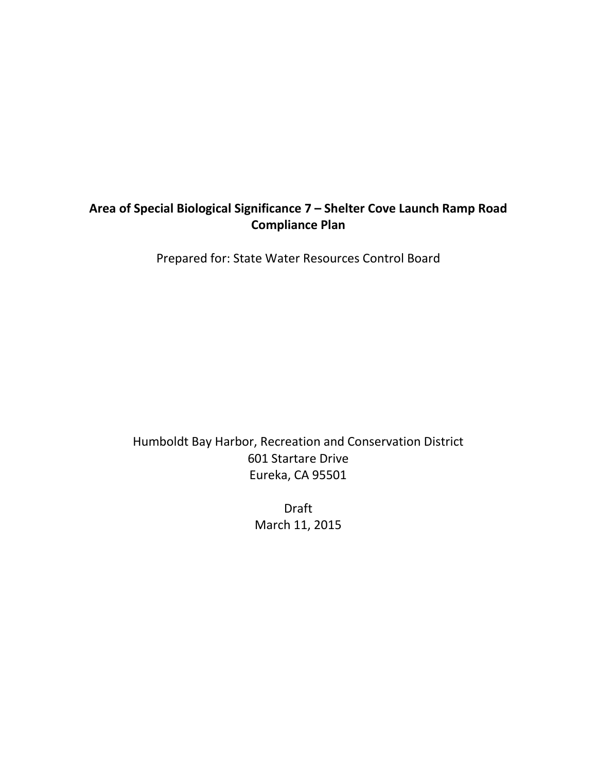## **Area of Special Biological Significance 7 – Shelter Cove Launch Ramp Road Compliance Plan**

Prepared for: State Water Resources Control Board

Humboldt Bay Harbor, Recreation and Conservation District 601 Startare Drive Eureka, CA 95501

> Draft March 11, 2015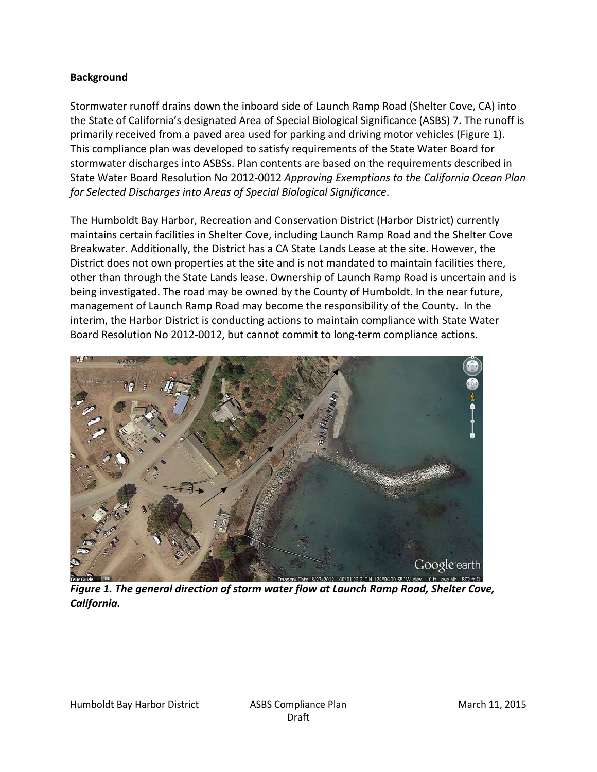## **Background**

Stormwater runoff drains down the inboard side of Launch Ramp Road (Shelter Cove, CA) into the State of California's designated Area of Special Biological Significance (ASBS) 7. The runoff is primarily received from a paved area used for parking and driving motor vehicles (Figure 1). This compliance plan was developed to satisfy requirements of the State Water Board for stormwater discharges into ASBSs. Plan contents are based on the requirements described in State Water Board Resolution No 2012-0012 *Approving Exemptions to the California Ocean Plan for Selected Discharges into Areas of Special Biological Significance*.

The Humboldt Bay Harbor, Recreation and Conservation District (Harbor District) currently maintains certain facilities in Shelter Cove, including Launch Ramp Road and the Shelter Cove Breakwater. Additionally, the District has a CA State Lands Lease at the site. However, the District does not own properties at the site and is not mandated to maintain facilities there, other than through the State Lands lease. Ownership of Launch Ramp Road is uncertain and is being investigated. The road may be owned by the County of Humboldt. In the near future, management of Launch Ramp Road may become the responsibility of the County. In the interim, the Harbor District is conducting actions to maintain compliance with State Water Board Resolution No 2012-0012, but cannot commit to long-term compliance actions.



*Figure 1. The general direction of storm water flow at Launch Ramp Road, Shelter Cove, California.*